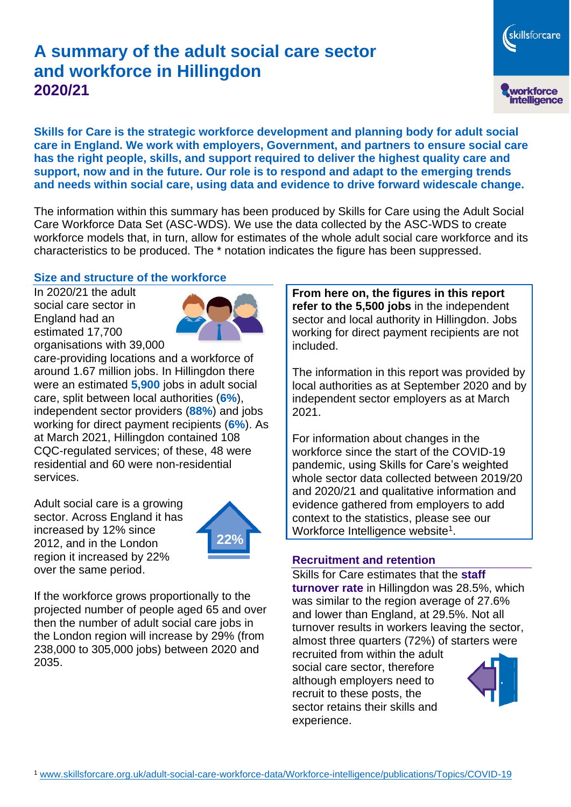# **A summary of the adult social care sector and workforce in Hillingdon 2020/21**

**Skills for Care is the strategic workforce development and planning body for adult social care in England. We work with employers, Government, and partners to ensure social care has the right people, skills, and support required to deliver the highest quality care and support, now and in the future. Our role is to respond and adapt to the emerging trends and needs within social care, using data and evidence to drive forward widescale change.**

The information within this summary has been produced by Skills for Care using the Adult Social Care Workforce Data Set (ASC-WDS). We use the data collected by the ASC-WDS to create workforce models that, in turn, allow for estimates of the whole adult social care workforce and its characteristics to be produced. The \* notation indicates the figure has been suppressed.

#### **Size and structure of the workforce**

In 2020/21 the adult social care sector in England had an estimated 17,700 organisations with 39,000



care-providing locations and a workforce of around 1.67 million jobs. In Hillingdon there were an estimated **5,900** jobs in adult social care, split between local authorities (**6%**), independent sector providers (**88%**) and jobs working for direct payment recipients (**6%**). As at March 2021, Hillingdon contained 108 CQC-regulated services; of these, 48 were residential and 60 were non-residential services.

Adult social care is a growing sector. Across England it has increased by 12% since 2012, and in the London region it increased by 22% over the same period.



If the workforce grows proportionally to the projected number of people aged 65 and over then the number of adult social care jobs in the London region will increase by 29% (from 238,000 to 305,000 jobs) between 2020 and 2035.

**From here on, the figures in this report refer to the 5,500 jobs** in the independent sector and local authority in Hillingdon. Jobs working for direct payment recipients are not included.

The information in this report was provided by local authorities as at September 2020 and by independent sector employers as at March 2021.

For information about changes in the workforce since the start of the COVID-19 pandemic, using Skills for Care's weighted whole sector data collected between 2019/20 and 2020/21 and qualitative information and evidence gathered from employers to add context to the statistics, please see our Workforce Intelligence website<sup>1</sup>.

#### **Recruitment and retention**

Skills for Care estimates that the **staff turnover rate** in Hillingdon was 28.5%, which was similar to the region average of 27.6% and lower than England, at 29.5%. Not all turnover results in workers leaving the sector, almost three quarters (72%) of starters were

recruited from within the adult social care sector, therefore although employers need to recruit to these posts, the sector retains their skills and experience.



skillsforcare

workforce<br>intelligence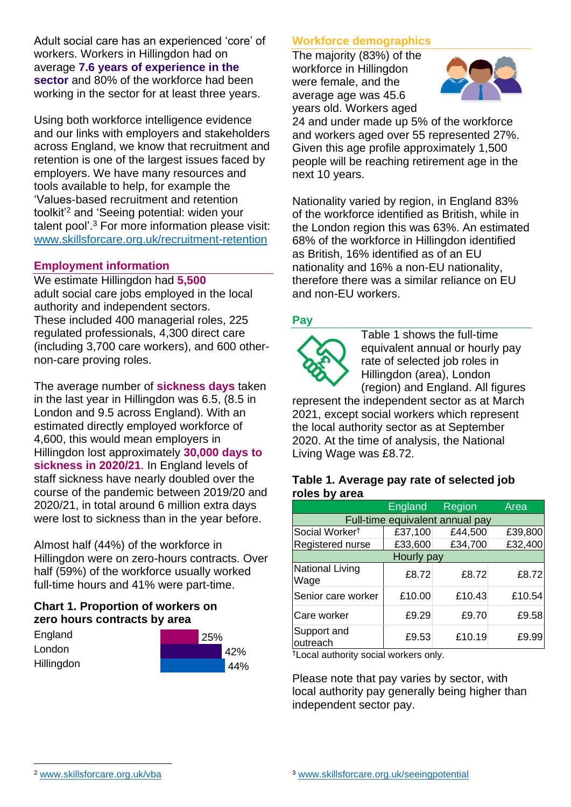Adult social care has an experienced 'core' of workers. Workers in Hillingdon had on average **7.6 years of experience in the sector** and 80% of the workforce had been working in the sector for at least three years.

Using both workforce intelligence evidence and our links with employers and stakeholders across England, we know that recruitment and retention is one of the largest issues faced by employers. We have many resources and tools available to help, for example the 'Values-based recruitment and retention toolkit'<sup>2</sup> and 'Seeing potential: widen your talent pool'. <sup>3</sup> For more information please visit: [www.skillsforcare.org.uk/recruitment-retention](http://www.skillsforcare.org.uk/recruitment-retention)

#### **Employment information**

We estimate Hillingdon had **5,500** adult social care jobs employed in the local authority and independent sectors. These included 400 managerial roles, 225 regulated professionals, 4,300 direct care (including 3,700 care workers), and 600 othernon-care proving roles.

The average number of **sickness days** taken in the last year in Hillingdon was 6.5, (8.5 in London and 9.5 across England). With an estimated directly employed workforce of 4,600, this would mean employers in Hillingdon lost approximately **30,000 days to sickness in 2020/21**. In England levels of staff sickness have nearly doubled over the course of the pandemic between 2019/20 and 2020/21, in total around 6 million extra days were lost to sickness than in the year before.

Almost half (44%) of the workforce in Hillingdon were on zero-hours contracts. Over half (59%) of the workforce usually worked full-time hours and 41% were part-time.

# **Chart 1. Proportion of workers on zero hours contracts by area**

| England           | 25% |
|-------------------|-----|
| London            | 42% |
| <b>Hillingdon</b> | 44% |

# **Workforce demographics**

The majority (83%) of the workforce in Hillingdon were female, and the average age was 45.6 years old. Workers aged



24 and under made up 5% of the workforce and workers aged over 55 represented 27%. Given this age profile approximately 1,500 people will be reaching retirement age in the next 10 years.

Nationality varied by region, in England 83% of the workforce identified as British, while in the London region this was 63%. An estimated 68% of the workforce in Hillingdon identified as British, 16% identified as of an EU nationality and 16% a non-EU nationality, therefore there was a similar reliance on EU and non-EU workers.

# **Pay**



Table 1 shows the full-time equivalent annual or hourly pay rate of selected job roles in Hillingdon (area), London (region) and England. All figures

represent the independent sector as at March 2021, except social workers which represent the local authority sector as at September 2020. At the time of analysis, the National Living Wage was £8.72.

#### **Table 1. Average pay rate of selected job roles by area**

|                                 | <b>England</b> | Region  | Area    |  |
|---------------------------------|----------------|---------|---------|--|
| Full-time equivalent annual pay |                |         |         |  |
| Social Worker <sup>t</sup>      | £37,100        | £44,500 | £39,800 |  |
| Registered nurse                | £33,600        | £34,700 | £32,400 |  |
| Hourly pay                      |                |         |         |  |
| National Living<br>Wage         | £8.72          | £8.72   | £8.72   |  |
| Senior care worker              | £10.00         | £10.43  | £10.54  |  |
| Care worker                     | £9.29          | £9.70   | £9.58   |  |
| Support and<br>outreach         | £9.53          | £10.19  | £9.99   |  |

†Local authority social workers only.

Please note that pay varies by sector, with local authority pay generally being higher than independent sector pay.